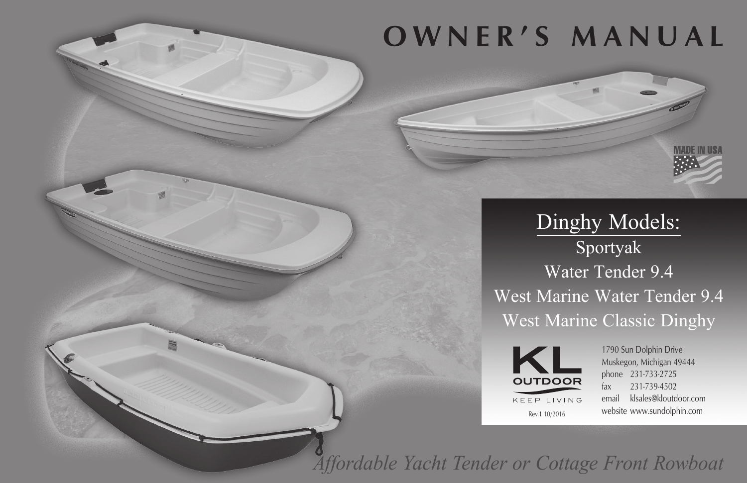# **OWNER'S MANUAL**



Dinghy Models: Sportyak Water Tender 9.4 West Marine Water Tender 9.4 West Marine Classic Dinghy



1790 Sun Dolphin Drive Muskegon, Michigan 49444 phone 231-733-2725 fax 231-739-4502 email klsales@kloutdoor.com website www.sundolphin.com

*Affordable Yacht Tender or Cottage Front Rowboat*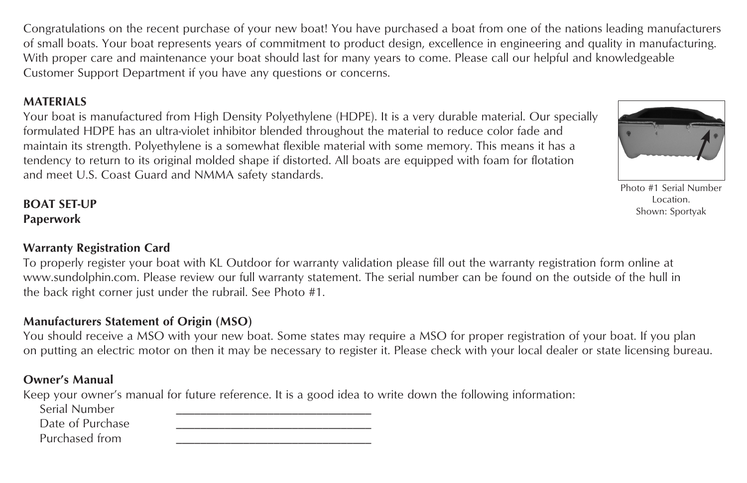Congratulations on the recent purchase of your new boat! You have purchased a boat from one of the nations leading manufacturers of small boats. Your boat represents years of commitment to product design, excellence in engineering and quality in manufacturing. With proper care and maintenance your boat should last for many years to come. Please call our helpful and knowledgeable Customer Support Department if you have any questions or concerns.

### **MATERIALS**

Your boat is manufactured from High Density Polyethylene (HDPE). It is a very durable material. Our specially formulated HDPE has an ultra-violet inhibitor blended throughout the material to reduce color fade and maintain its strength. Polyethylene is a somewhat flexible material with some memory. This means it has a tendency to return to its original molded shape if distorted. All boats are equipped with foam for flotation and meet U.S. Coast Guard and NMMA safety standards.

**BOAT SET-UP Paperwork**

## **Warranty Registration Card**

To properly register your boat with KL Outdoor for warranty validation please fill out the warranty registration form online at www.sundolphin.com. Please review our full warranty statement. The serial number can be found on the outside of the hull in the back right corner just under the rubrail. See Photo #1.

## **Manufacturers Statement of Origin (MSO)**

You should receive a MSO with your new boat. Some states may require a MSO for proper registration of your boat. If you plan on putting an electric motor on then it may be necessary to register it. Please check with your local dealer or state licensing bureau.

## **Owner's Manual**

Keep your owner's manual for future reference. It is a good idea to write down the following information:

Serial Numbe

Date of Purch

Purchased from

| er   |  |
|------|--|
| hase |  |
| ∩m   |  |

Photo #1 Serial Number Location. Shown: Sportyak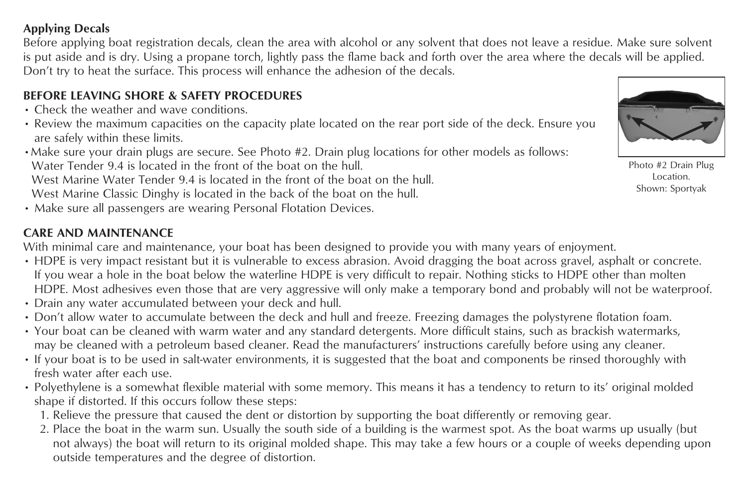## **Applying Decals**

Before applying boat registration decals, clean the area with alcohol or any solvent that does not leave a residue. Make sure solvent is put aside and is dry. Using a propane torch, lightly pass the flame back and forth over the area where the decals will be applied. Don't try to heat the surface. This process will enhance the adhesion of the decals.

## **BEFORE LEAVING SHORE & SAFETY PROCEDURES**

- Check the weather and wave conditions.
- Review the maximum capacities on the capacity plate located on the rear port side of the deck. Ensure you are safely within these limits.
- •Make sure your drain plugs are secure. See Photo #2. Drain plug locations for other models as follows: Water Tender 9.4 is located in the front of the boat on the hull.

West Marine Water Tender 9.4 is located in the front of the boat on the hull. West Marine Classic Dinghy is located in the back of the boat on the hull.

• Make sure all passengers are wearing Personal Flotation Devices.

## **CARE AND MAINTENANCE**

With minimal care and maintenance, your boat has been designed to provide you with many years of enjoyment.

- HDPE is very impact resistant but it is vulnerable to excess abrasion. Avoid dragging the boat across gravel, asphalt or concrete. If you wear a hole in the boat below the waterline HDPE is very difficult to repair. Nothing sticks to HDPE other than molten HDPE. Most adhesives even those that are very aggressive will only make a temporary bond and probably will not be waterproof.
- Drain any water accumulated between your deck and hull.
- Don't allow water to accumulate between the deck and hull and freeze. Freezing damages the polystyrene flotation foam.
- Your boat can be cleaned with warm water and any standard detergents. More difficult stains, such as brackish watermarks, may be cleaned with a petroleum based cleaner. Read the manufacturers' instructions carefully before using any cleaner.
- If your boat is to be used in salt-water environments, it is suggested that the boat and components be rinsed thoroughly with fresh water after each use.
- Polyethylene is a somewhat flexible material with some memory. This means it has a tendency to return to its' original molded shape if distorted. If this occurs follow these steps:
	- 1. Relieve the pressure that caused the dent or distortion by supporting the boat differently or removing gear.
	- 2. Place the boat in the warm sun. Usually the south side of a building is the warmest spot. As the boat warms up usually (but not always) the boat will return to its original molded shape. This may take a few hours or a couple of weeks depending upon outside temperatures and the degree of distortion.



Photo #2 Drain Plug Location. Shown: Sportyak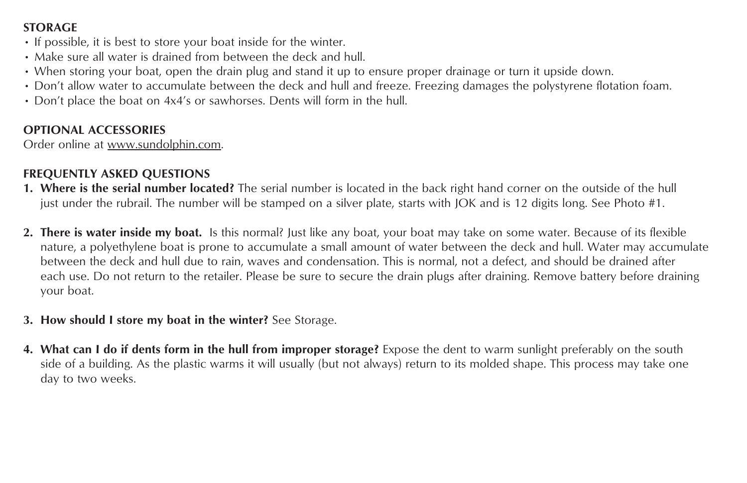## **STORAGE**

- If possible, it is best to store your boat inside for the winter.
- Make sure all water is drained from between the deck and hull.
- When storing your boat, open the drain plug and stand it up to ensure proper drainage or turn it upside down.
- Don't allow water to accumulate between the deck and hull and freeze. Freezing damages the polystyrene flotation foam.
- Don't place the boat on 4x4's or sawhorses. Dents will form in the hull.

## **OPTIONAL ACCESSORIES**

Order online at www.sundolphin.com.

## **FREQUENTLY ASKED QUESTIONS**

- **1. Where is the serial number located?** The serial number is located in the back right hand corner on the outside of the hull just under the rubrail. The number will be stamped on a silver plate, starts with JOK and is 12 digits long. See Photo #1.
- **2. There is water inside my boat.** Is this normal? Just like any boat, your boat may take on some water. Because of its flexible nature, a polyethylene boat is prone to accumulate a small amount of water between the deck and hull. Water may accumulate between the deck and hull due to rain, waves and condensation. This is normal, not a defect, and should be drained after each use. Do not return to the retailer. Please be sure to secure the drain plugs after draining. Remove battery before draining your boat.
- **3. How should I store my boat in the winter?** See Storage.
- **4. What can I do if dents form in the hull from improper storage?** Expose the dent to warm sunlight preferably on the south side of a building. As the plastic warms it will usually (but not always) return to its molded shape. This process may take one day to two weeks.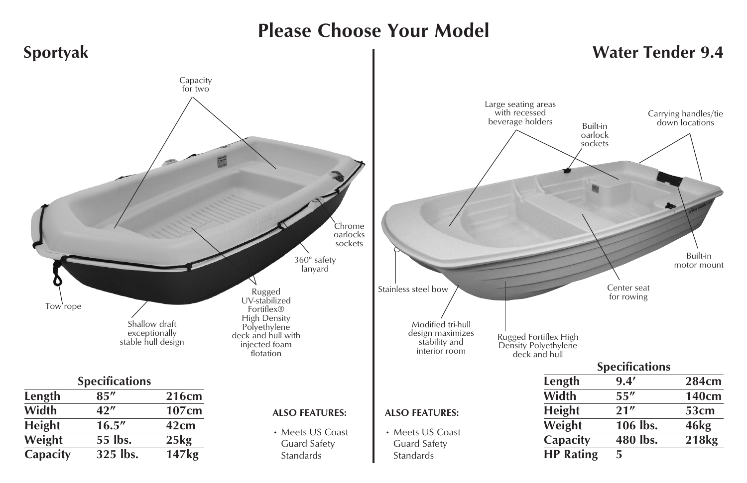## **Please Choose Your Model**

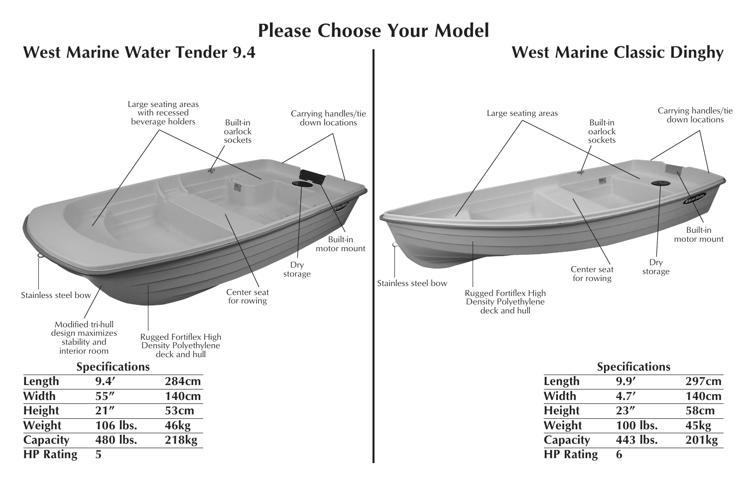## **Please Choose Your Model**